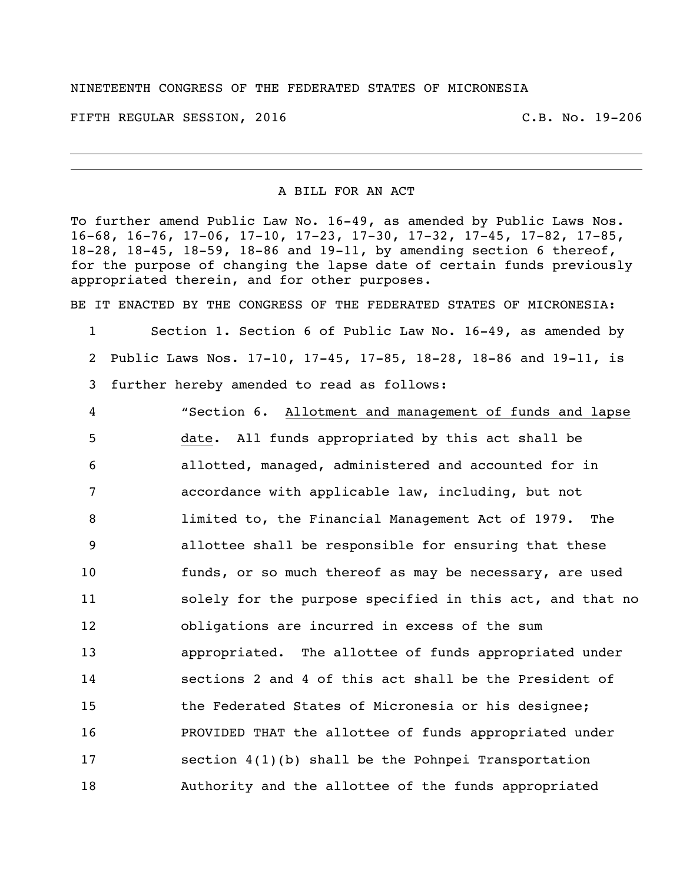## NINETEENTH CONGRESS OF THE FEDERATED STATES OF MICRONESIA

FIFTH REGULAR SESSION, 2016 C.B. No. 19-206

## A BILL FOR AN ACT

To further amend Public Law No. 16-49, as amended by Public Laws Nos. 16-68, 16-76, 17-06, 17-10, 17-23, 17-30, 17-32, 17-45, 17-82, 17-85, 18-28, 18-45, 18-59, 18-86 and 19-11, by amending section 6 thereof, for the purpose of changing the lapse date of certain funds previously appropriated therein, and for other purposes.

BE IT ENACTED BY THE CONGRESS OF THE FEDERATED STATES OF MICRONESIA:

 Section 1. Section 6 of Public Law No. 16-49, as amended by Public Laws Nos. 17-10, 17-45, 17-85, 18-28, 18-86 and 19-11, is further hereby amended to read as follows:

 "Section 6. Allotment and management of funds and lapse date. All funds appropriated by this act shall be allotted, managed, administered and accounted for in accordance with applicable law, including, but not limited to, the Financial Management Act of 1979. The allottee shall be responsible for ensuring that these funds, or so much thereof as may be necessary, are used solely for the purpose specified in this act, and that no obligations are incurred in excess of the sum appropriated. The allottee of funds appropriated under sections 2 and 4 of this act shall be the President of the Federated States of Micronesia or his designee; PROVIDED THAT the allottee of funds appropriated under section 4(1)(b) shall be the Pohnpei Transportation Authority and the allottee of the funds appropriated